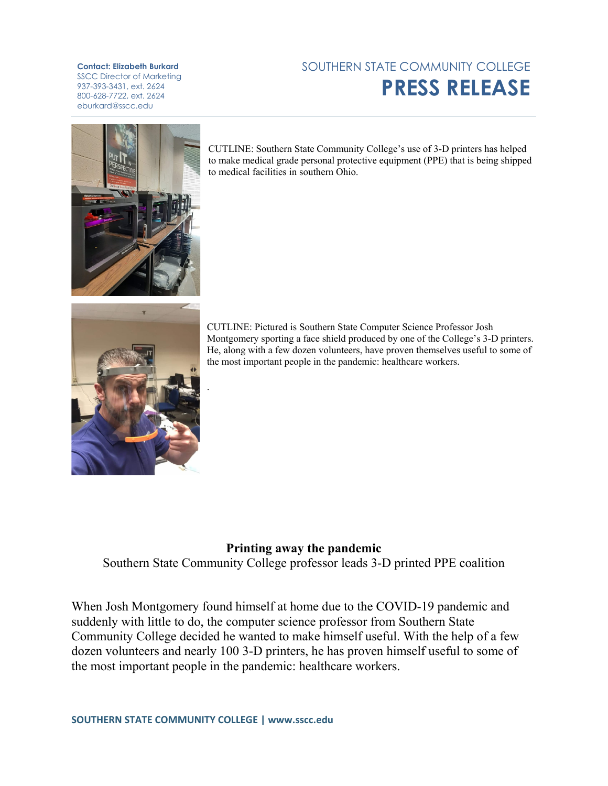**Contact: Elizabeth Burkard**

SSCC Director of Marketing 937-393-3431, ext. 2624 800-628-7722, ext. 2624 eburkard@sscc.edu

## SOUTHERN STATE COMMUNITY COLLEGE **PRESS RELEASE**



CUTLINE: Southern State Community College's use of 3-D printers has helped to make medical grade personal protective equipment (PPE) that is being shipped to medical facilities in southern Ohio.



.

CUTLINE: Pictured is Southern State Computer Science Professor Josh Montgomery sporting a face shield produced by one of the College's 3-D printers. He, along with a few dozen volunteers, have proven themselves useful to some of the most important people in the pandemic: healthcare workers.

## **Printing away the pandemic**

Southern State Community College professor leads 3-D printed PPE coalition

When Josh Montgomery found himself at home due to the COVID-19 pandemic and suddenly with little to do, the computer science professor from Southern State Community College decided he wanted to make himself useful. With the help of a few dozen volunteers and nearly 100 3-D printers, he has proven himself useful to some of the most important people in the pandemic: healthcare workers.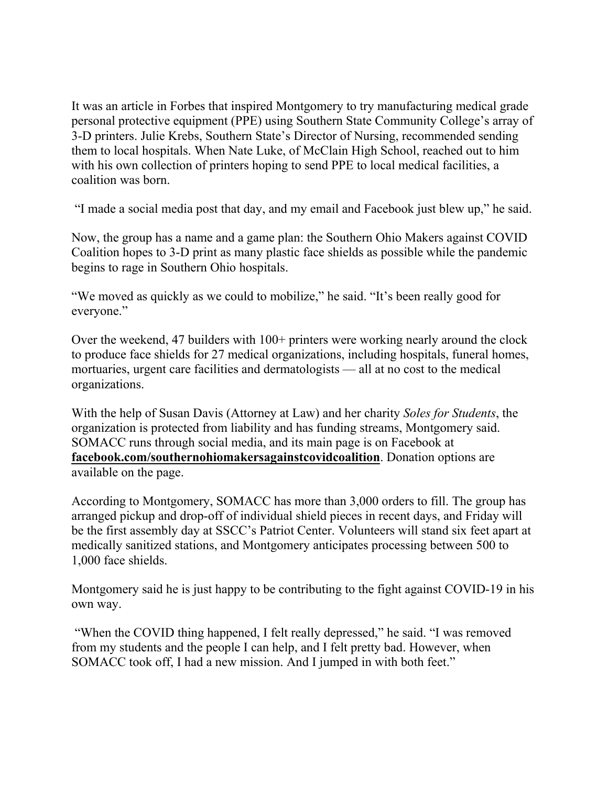It was an article in Forbes that inspired Montgomery to try manufacturing medical grade personal protective equipment (PPE) using Southern State Community College's array of 3-D printers. Julie Krebs, Southern State's Director of Nursing, recommended sending them to local hospitals. When Nate Luke, of McClain High School, reached out to him with his own collection of printers hoping to send PPE to local medical facilities, a coalition was born.

"I made a social media post that day, and my email and Facebook just blew up," he said.

Now, the group has a name and a game plan: the Southern Ohio Makers against COVID Coalition hopes to 3-D print as many plastic face shields as possible while the pandemic begins to rage in Southern Ohio hospitals.

"We moved as quickly as we could to mobilize," he said. "It's been really good for everyone."

Over the weekend, 47 builders with 100+ printers were working nearly around the clock to produce face shields for 27 medical organizations, including hospitals, funeral homes, mortuaries, urgent care facilities and dermatologists — all at no cost to the medical organizations.

With the help of Susan Davis (Attorney at Law) and her charity *Soles for Students*, the organization is protected from liability and has funding streams, Montgomery said. SOMACC runs through social media, and its main page is on Facebook at **facebook.com/southernohiomakersagainstcovidcoalition**. Donation options are available on the page.

According to Montgomery, SOMACC has more than 3,000 orders to fill. The group has arranged pickup and drop-off of individual shield pieces in recent days, and Friday will be the first assembly day at SSCC's Patriot Center. Volunteers will stand six feet apart at medically sanitized stations, and Montgomery anticipates processing between 500 to 1,000 face shields.

Montgomery said he is just happy to be contributing to the fight against COVID-19 in his own way.

"When the COVID thing happened, I felt really depressed," he said. "I was removed from my students and the people I can help, and I felt pretty bad. However, when SOMACC took off, I had a new mission. And I jumped in with both feet."